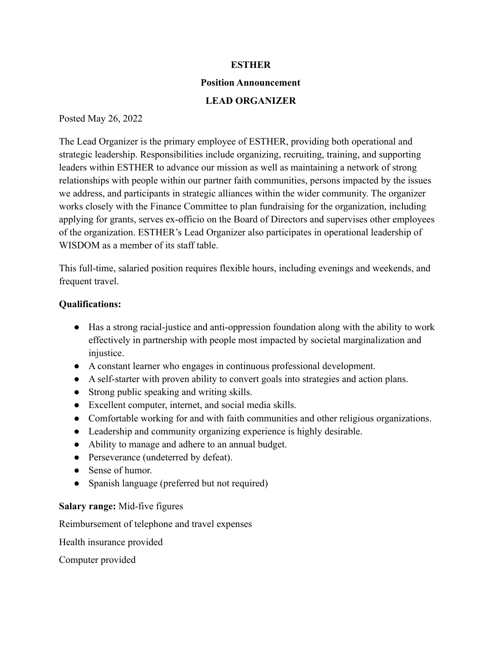#### **ESTHER**

#### **Position Announcement**

## **LEAD ORGANIZER**

Posted May 26, 2022

The Lead Organizer is the primary employee of ESTHER, providing both operational and strategic leadership. Responsibilities include organizing, recruiting, training, and supporting leaders within ESTHER to advance our mission as well as maintaining a network of strong relationships with people within our partner faith communities, persons impacted by the issues we address, and participants in strategic alliances within the wider community. The organizer works closely with the Finance Committee to plan fundraising for the organization, including applying for grants, serves ex-officio on the Board of Directors and supervises other employees of the organization. ESTHER's Lead Organizer also participates in operational leadership of WISDOM as a member of its staff table.

This full-time, salaried position requires flexible hours, including evenings and weekends, and frequent travel.

### **Qualifications:**

- Has a strong racial-justice and anti-oppression foundation along with the ability to work effectively in partnership with people most impacted by societal marginalization and injustice.
- A constant learner who engages in continuous professional development.
- A self-starter with proven ability to convert goals into strategies and action plans.
- Strong public speaking and writing skills.
- Excellent computer, internet, and social media skills.
- Comfortable working for and with faith communities and other religious organizations.
- Leadership and community organizing experience is highly desirable.
- Ability to manage and adhere to an annual budget.
- Perseverance (undeterred by defeat).
- Sense of humor.
- Spanish language (preferred but not required)

### **Salary range:** Mid-five figures

Reimbursement of telephone and travel expenses

Health insurance provided

Computer provided